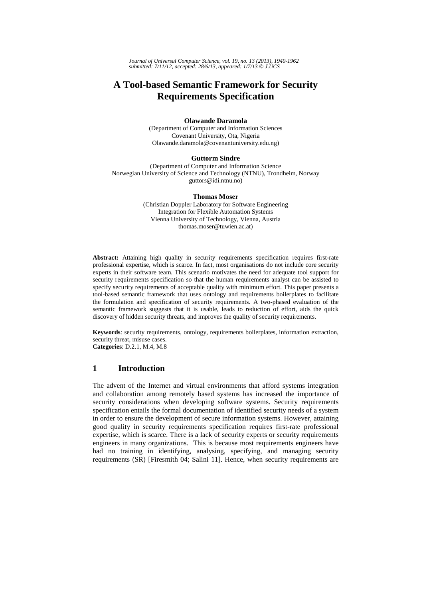*Journal of Universal Computer Science, vol. 19, no. 13 (2013), 1940-1962 submitted: 7/11/12, accepted: 28/6/13, appeared: 1/7/13* © *J.UCS*

# **A Tool-based Semantic Framework for Security Requirements Specification**

# **Olawande Daramola**

(Department of Computer and Information Sciences Covenant University, Ota, Nigeria Olawande.daramola@covenantuniversity.edu.ng)

# **Guttorm Sindre**

(Department of Computer and Information Science Norwegian University of Science and Technology (NTNU), Trondheim, Norway guttors@idi.ntnu.no)

#### **Thomas Moser**

(Christian Doppler Laboratory for Software Engineering Integration for Flexible Automation Systems Vienna University of Technology, Vienna, Austria thomas.moser@tuwien.ac.at)

Abstract: Attaining high quality in security requirements specification requires first-rate professional expertise, which is scarce. In fact, most organisations do not include core security experts in their software team. This scenario motivates the need for adequate tool support for security requirements specification so that the human requirements analyst can be assisted to specify security requirements of acceptable quality with minimum effort. This paper presents a tool-based semantic framework that uses ontology and requirements boilerplates to facilitate the formulation and specification of security requirements. A two-phased evaluation of the semantic framework suggests that it is usable, leads to reduction of effort, aids the quick discovery of hidden security threats, and improves the quality of security requirements.

**Keywords**: security requirements, ontology, requirements boilerplates, information extraction, security threat, misuse cases. **Categories**: D.2.1, M.4, M.8

# **1 Introduction**

The advent of the Internet and virtual environments that afford systems integration and collaboration among remotely based systems has increased the importance of security considerations when developing software systems. Security requirements specification entails the formal documentation of identified security needs of a system in order to ensure the development of secure information systems. However, attaining good quality in security requirements specification requires first-rate professional expertise, which is scarce. There is a lack of security experts or security requirements engineers in many organizations. This is because most requirements engineers have had no training in identifying, analysing, specifying, and managing security requirements (SR) [Firesmith 04; Salini 11]. Hence, when security requirements are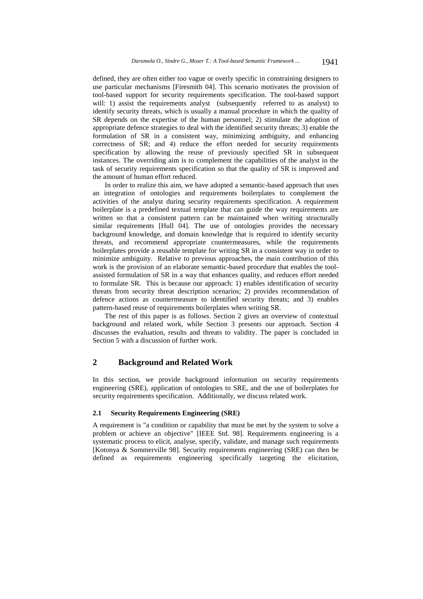defined, they are often either too vague or overly specific in constraining designers to use particular mechanisms [Firesmith 04]. This scenario motivates the provision of tool-based support for security requirements specification. The tool-based support will: 1) assist the requirements analyst (subsequently referred to as analyst) to identify security threats, which is usually a manual procedure in which the quality of SR depends on the expertise of the human personnel; 2) stimulate the adoption of appropriate defence strategies to deal with the identified security threats; 3) enable the formulation of SR in a consistent way, minimizing ambiguity, and enhancing correctness of SR; and 4) reduce the effort needed for security requirements specification by allowing the reuse of previously specified SR in subsequent instances. The overriding aim is to complement the capabilities of the analyst in the task of security requirements specification so that the quality of SR is improved and the amount of human effort reduced.

In order to realize this aim, we have adopted a semantic-based approach that uses an integration of ontologies and requirements boilerplates to complement the activities of the analyst during security requirements specification. A requirement boilerplate is a predefined textual template that can guide the way requirements are written so that a consistent pattern can be maintained when writing structurally similar requirements [Hull 04]. The use of ontologies provides the necessary background knowledge, and domain knowledge that is required to identify security threats, and recommend appropriate countermeasures, while the requirements boilerplates provide a reusable template for writing SR in a consistent way in order to minimize ambiguity. Relative to previous approaches, the main contribution of this work is the provision of an elaborate semantic-based procedure that enables the toolassisted formulation of SR in a way that enhances quality, and reduces effort needed to formulate SR. This is because our approach: 1) enables identification of security threats from security threat description scenarios; 2) provides recommendation of defence actions as countermeasure to identified security threats; and 3) enables pattern-based reuse of requirements boilerplates when writing SR.

The rest of this paper is as follows. Section 2 gives an overview of contextual background and related work, while Section 3 presents our approach. Section 4 discusses the evaluation, results and threats to validity. The paper is concluded in Section 5 with a discussion of further work.

# **2 Background and Related Work**

In this section, we provide background information on security requirements engineering (SRE), application of ontologies to SRE, and the use of boilerplates for security requirements specification. Additionally, we discuss related work.

# **2.1 Security Requirements Engineering (SRE)**

A requirement is "a condition or capability that must be met by the system to solve a problem or achieve an objective" [IEEE Std. 98]. Requirements engineering is a systematic process to elicit, analyse, specify, validate, and manage such requirements [Kotonya & Sommerville 98]. Security requirements engineering (SRE) can then be defined as requirements engineering specifically targeting the elicitation,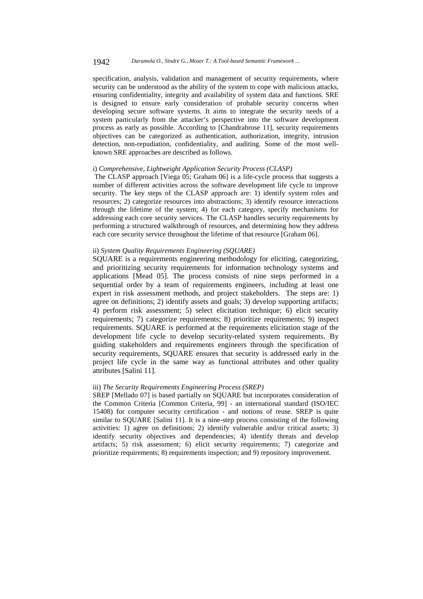specification, analysis, validation and management of security requirements, where security can be understood as the ability of the system to cope with malicious attacks, ensuring confidentiality, integrity and availability of system data and functions. SRE is designed to ensure early consideration of probable security concerns when developing secure software systems. It aims to integrate the security needs of a system particularly from the attacker's perspective into the software development process as early as possible. According to [Chandrabrose 11], security requirements objectives can be categorized as authentication, authorization, integrity, intrusion detection, non-repudiation, confidentiality, and auditing. Some of the most wellknown SRE approaches are described as follows.

# i) *Comprehensive, Lightweight Application Security Process (CLASP)*

The CLASP approach [Viega 05; Graham 06] is a life-cycle process that suggests a number of different activities across the software development life cycle to improve security. The key steps of the CLASP approach are: 1) identify system roles and resources; 2) categorize resources into abstractions; 3) identify resource interactions through the lifetime of the system; 4) for each category, specify mechanisms for addressing each core security services. The CLASP handles security requirements by performing a structured walkthrough of resources, and determining how they address each core security service throughout the lifetime of that resource [Graham 06].

# ii) *System Quality Requirements Engineering (SQUARE)*

SQUARE is a requirements engineering methodology for eliciting, categorizing, and prioritizing security requirements for information technology systems and applications [Mead 05]. The process consists of nine steps performed in a sequential order by a team of requirements engineers, including at least one expert in risk assessment methods, and project stakeholders. The steps are: 1) agree on definitions; 2) identify assets and goals; 3) develop supporting artifacts; 4) perform risk assessment; 5) select elicitation technique; 6) elicit security requirements; 7) categorize requirements; 8) prioritize requirements; 9) inspect requirements. SQUARE is performed at the requirements elicitation stage of the development life cycle to develop security-related system requirements. By guiding stakeholders and requirements engineers through the specification of security requirements, SQUARE ensures that security is addressed early in the project life cycle in the same way as functional attributes and other quality attributes [Salini 11].

# iii) *The Security Requirements Engineering Process (SREP)*

SREP [Mellado 07] is based partially on SQUARE but incorporates consideration of the Common Criteria [Common Criteria, 99] - an international standard (ISO/IEC 15408) for computer security certification - and notions of reuse. SREP is quite similar to SQUARE [Salini 11]. It is a nine-step process consisting of the following activities: 1) agree on definitions; 2) identify vulnerable and/or critical assets; 3) identify security objectives and dependencies; 4) identify threats and develop artifacts; 5) risk assessment; 6) elicit security requirements; 7) categorize and prioritize requirements; 8) requirements inspection; and 9) repository improvement.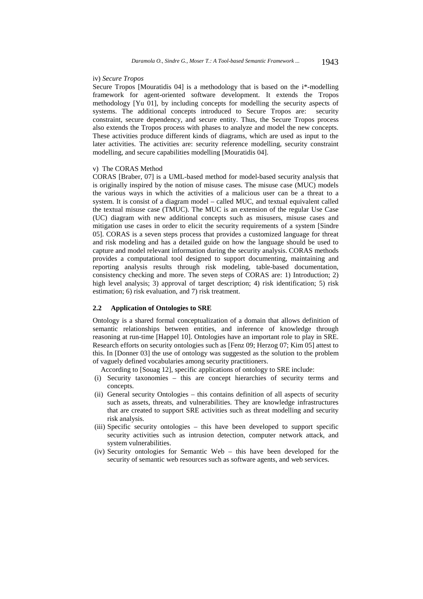#### iv) *Secure Tropos*

Secure Tropos [Mouratidis 04] is a methodology that is based on the i\*-modelling framework for agent-oriented software development. It extends the Tropos methodology [Yu 01], by including concepts for modelling the security aspects of systems. The additional concepts introduced to Secure Tropos are: security constraint, secure dependency, and secure entity. Thus, the Secure Tropos process also extends the Tropos process with phases to analyze and model the new concepts. These activities produce different kinds of diagrams, which are used as input to the later activities. The activities are: security reference modelling, security constraint modelling, and secure capabilities modelling [Mouratidis 04].

# v) The CORAS Method

CORAS [Braber, 07] is a UML-based method for model-based security analysis that is originally inspired by the notion of misuse cases. The misuse case (MUC) models the various ways in which the activities of a malicious user can be a threat to a system. It is consist of a diagram model – called MUC, and textual equivalent called the textual misuse case (TMUC). The MUC is an extension of the regular Use Case (UC) diagram with new additional concepts such as misusers, misuse cases and mitigation use cases in order to elicit the security requirements of a system [Sindre 05]. CORAS is a seven steps process that provides a customized language for threat and risk modeling and has a detailed guide on how the language should be used to capture and model relevant information during the security analysis. CORAS methods provides a computational tool designed to support documenting, maintaining and reporting analysis results through risk modeling, table-based documentation, consistency checking and more. The seven steps of CORAS are: 1) Introduction; 2) high level analysis; 3) approval of target description; 4) risk identification; 5) risk estimation; 6) risk evaluation, and 7) risk treatment.

# **2.2 Application of Ontologies to SRE**

Ontology is a shared formal conceptualization of a domain that allows definition of semantic relationships between entities, and inference of knowledge through reasoning at run-time [Happel 10]. Ontologies have an important role to play in SRE. Research efforts on security ontologies such as [Fenz 09; Herzog 07; Kim 05] attest to this. In [Donner 03] the use of ontology was suggested as the solution to the problem of vaguely defined vocabularies among security practitioners.

According to [Souag 12], specific applications of ontology to SRE include:

- (i) Security taxonomies this are concept hierarchies of security terms and concepts.
- (ii) General security Ontologies this contains definition of all aspects of security such as assets, threats, and vulnerabilities. They are knowledge infrastructures that are created to support SRE activities such as threat modelling and security risk analysis.
- (iii) Specific security ontologies this have been developed to support specific security activities such as intrusion detection, computer network attack, and system vulnerabilities.
- (iv) Security ontologies for Semantic Web this have been developed for the security of semantic web resources such as software agents, and web services.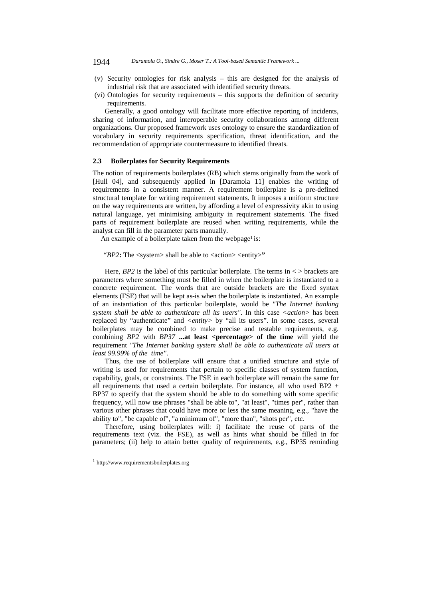### 1944 *Daramola O., Sindre G., Moser T.: A Tool-based Semantic Framework ...*

- (v) Security ontologies for risk analysis this are designed for the analysis of industrial risk that are associated with identified security threats.
- (vi) Ontologies for security requirements this supports the definition of security requirements.

Generally, a good ontology will facilitate more effective reporting of incidents, sharing of information, and interoperable security collaborations among different organizations. Our proposed framework uses ontology to ensure the standardization of vocabulary in security requirements specification, threat identification, and the recommendation of appropriate countermeasure to identified threats.

# **2.3 Boilerplates for Security Requirements**

The notion of requirements boilerplates (RB) which stems originally from the work of [Hull 04], and subsequently applied in [Daramola 11] enables the writing of requirements in a consistent manner. A requirement boilerplate is a pre-defined structural template for writing requirement statements. It imposes a uniform structure on the way requirements are written, by affording a level of expressivity akin to using natural language, yet minimising ambiguity in requirement statements. The fixed parts of requirement boilerplate are reused when writing requirements, while the analyst can fill in the parameter parts manually.

An example of a boilerplate taken from the webpage<sup>1</sup> is:

*"BP2***:** The <system> shall be able to <action> <entity>**"** 

Here,  $BP2$  is the label of this particular boilerplate. The terms in  $\lt$  > brackets are parameters where something must be filled in when the boilerplate is instantiated to a concrete requirement. The words that are outside brackets are the fixed syntax elements (FSE) that will be kept as-is when the boilerplate is instantiated. An example of an instantiation of this particular boilerplate, would be *"The Internet banking system shall be able to authenticate all its users"*. In this case *<action>* has been replaced by "authenticate" and *<entity>* by "all its users". In some cases, several boilerplates may be combined to make precise and testable requirements, e.g. combining *BP2* with *BP37* ...at least <percentage> of the time will yield the requirement *"The Internet banking system shall be able to authenticate all users at least 99.99% of the time"*.

Thus, the use of boilerplate will ensure that a unified structure and style of writing is used for requirements that pertain to specific classes of system function, capability, goals, or constraints. The FSE in each boilerplate will remain the same for all requirements that used a certain boilerplate. For instance, all who used BP2 + BP37 to specify that the system should be able to do something with some specific frequency, will now use phrases "shall be able to", "at least", "times per", rather than various other phrases that could have more or less the same meaning, e.g., "have the ability to", "be capable of", "a minimum of", "more than", "shots per", etc.

Therefore, using boilerplates will: i) facilitate the reuse of parts of the requirements text (viz. the FSE), as well as hints what should be filled in for parameters; (ii) help to attain better quality of requirements, e.g., BP35 reminding

l

<sup>1</sup> http://www.requirementsboilerplates.org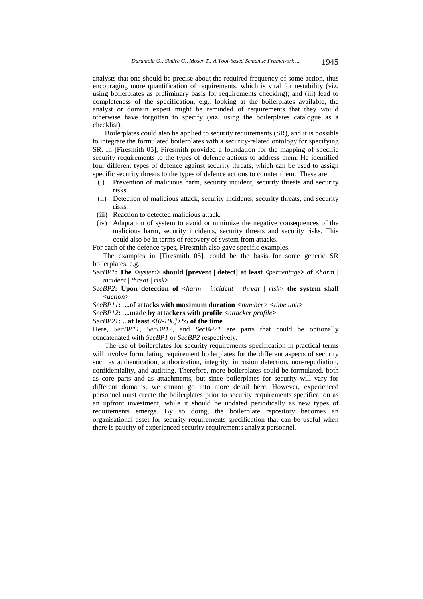analysts that one should be precise about the required frequency of some action, thus encouraging more quantification of requirements, which is vital for testability (viz. using boilerplates as preliminary basis for requirements checking); and (iii) lead to completeness of the specification, e.g., looking at the boilerplates available, the analyst or domain expert might be reminded of requirements that they would otherwise have forgotten to specify (viz. using the boilerplates catalogue as a checklist).

Boilerplates could also be applied to security requirements (SR), and it is possible to integrate the formulated boilerplates with a security-related ontology for specifying SR. In [Firesmith 05], Firesmith provided a foundation for the mapping of specific security requirements to the types of defence actions to address them. He identified four different types of defence against security threats, which can be used to assign specific security threats to the types of defence actions to counter them. These are:

- (i) Prevention of malicious harm, security incident, security threats and security risks.
- (ii) Detection of malicious attack, security incidents, security threats, and security risks.
- (iii) Reaction to detected malicious attack.
- (iv) Adaptation of system to avoid or minimize the negative consequences of the malicious harm, security incidents, security threats and security risks. This could also be in terms of recovery of system from attacks.

For each of the defence types, Firesmith also gave specific examples.

The examples in [Firesmith 05], could be the basis for some generic SR boilerplates, e.g.

*SecBP2***: Upon detection of** <*harm | incident | threat | risk*> **the system shall** <*action*>

*SecBP11***: ...of attacks with maximum duration** *<number>* **<***time unit***>** 

*SecBP12***: ...made by attackers with profile <***attacker profile***>** 

*SecBP21***: ...at least <***[0-100]***>% of the time** 

Here, *SecBP11*, *SecBP12*, and *SecBP21* are parts that could be optionally concatenated with *SecBP1* or *SecBP2* respectively.

The use of boilerplates for security requirements specification in practical terms will involve formulating requirement boilerplates for the different aspects of security such as authentication, authorization, integrity, intrusion detection, non-repudiation, confidentiality, and auditing. Therefore, more boilerplates could be formulated, both as core parts and as attachments, but since boilerplates for security will vary for different domains, we cannot go into more detail here. However, experienced personnel must create the boilerplates prior to security requirements specification as an upfront investment, while it should be updated periodically as new types of requirements emerge. By so doing, the boilerplate repository becomes an organisational asset for security requirements specification that can be useful when there is paucity of experienced security requirements analyst personnel.

*SecBP1***: The** <*system*> **should [prevent | detect] at least <***percentage***> of** <*harm | incident | threat | risk*>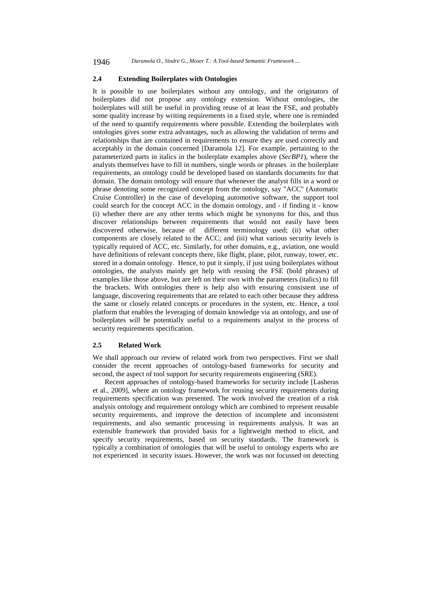# **2.4 Extending Boilerplates with Ontologies**

It is possible to use boilerplates without any ontology, and the originators of boilerplates did not propose any ontology extension. Without ontologies, the boilerplates will still be useful in providing reuse of at least the FSE, and probably some quality increase by writing requirements in a fixed style, where one is reminded of the need to quantify requirements where possible. Extending the boilerplates with ontologies gives some extra advantages, such as allowing the validation of terms and relationships that are contained in requirements to ensure they are used correctly and acceptably in the domain concerned [Daramola 12]. For example, pertaining to the parameterized parts in italics in the boilerplate examples above (*SecBP1*), where the analysts themselves have to fill in numbers, single words or phrases in the boilerplate requirements, an ontology could be developed based on standards documents for that domain. The domain ontology will ensure that whenever the analyst fills in a word or phrase denoting some recognized concept from the ontology, say "ACC" (Automatic Cruise Controller) in the case of developing automotive software, the support tool could search for the concept ACC in the domain ontology, and - if finding it - know (i) whether there are any other terms which might be synonyms for this, and thus discover relationships between requirements that would not easily have been discovered otherwise, because of different terminology used; (ii) what other components are closely related to the ACC; and (iii) what various security levels is typically required of ACC, etc. Similarly, for other domains, e.g., aviation, one would have definitions of relevant concepts there, like flight, plane, pilot, runway, tower, etc. stored in a domain ontology. Hence, to put it simply, if just using boilerplates without ontologies, the analysts mainly get help with reusing the FSE (bold phrases) of examples like those above, but are left on their own with the parameters (italics) to fill the brackets. With ontologies there is help also with ensuring consistent use of language, discovering requirements that are related to each other because they address the same or closely related concepts or procedures in the system, etc. Hence, a tool platform that enables the leveraging of domain knowledge via an ontology, and use of boilerplates will be potentially useful to a requirements analyst in the process of security requirements specification.

# **2.5 Related Work**

We shall approach our review of related work from two perspectives. First we shall consider the recent approaches of ontology-based frameworks for security and second, the aspect of tool support for security requirements engineering (SRE).

Recent approaches of ontology-based frameworks for security include [Lasheras et al., 2009], where an ontology framework for reusing security requirements during requirements specification was presented. The work involved the creation of a risk analysis ontology and requirement ontology which are combined to represent reusable security requirements, and improve the detection of incomplete and inconsistent requirements, and also semantic processing in requirements analysis. It was an extensible framework that provided basis for a lightweight method to elicit, and specify security requirements, based on security standards. The framework is typically a combination of ontologies that will be useful to ontology experts who are not experienced in security issues. However, the work was not focussed on detecting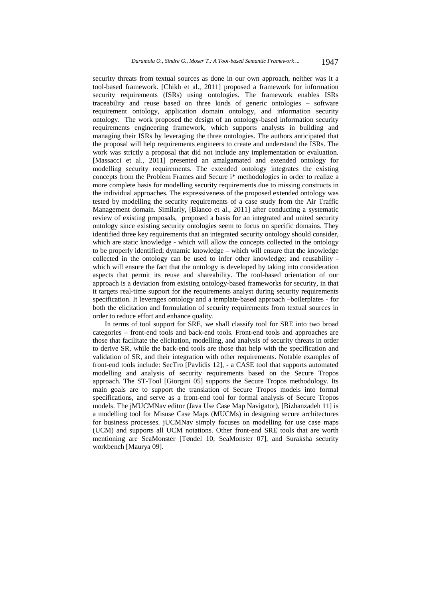security threats from textual sources as done in our own approach, neither was it a tool-based framework. [Chikh et al., 2011] proposed a framework for information security requirements (ISRs) using ontologies. The framework enables ISRs traceability and reuse based on three kinds of generic ontologies – software requirement ontology, application domain ontology, and information security ontology. The work proposed the design of an ontology-based information security requirements engineering framework, which supports analysts in building and managing their ISRs by leveraging the three ontologies. The authors anticipated that the proposal will help requirements engineers to create and understand the ISRs. The work was strictly a proposal that did not include any implementation or evaluation. [Massacci et al., 2011] presented an amalgamated and extended ontology for modelling security requirements. The extended ontology integrates the existing concepts from the Problem Frames and Secure i\* methodologies in order to realize a more complete basis for modelling security requirements due to missing constructs in the individual approaches. The expressiveness of the proposed extended ontology was tested by modelling the security requirements of a case study from the Air Traffic Management domain. Similarly, [Blanco et al., 2011] after conducting a systematic review of existing proposals, proposed a basis for an integrated and united security ontology since existing security ontologies seem to focus on specific domains. They identified three key requirements that an integrated security ontology should consider, which are static knowledge - which will allow the concepts collected in the ontology to be properly identified; dynamic knowledge – which will ensure that the knowledge collected in the ontology can be used to infer other knowledge; and reusability which will ensure the fact that the ontology is developed by taking into consideration aspects that permit its reuse and shareability. The tool-based orientation of our approach is a deviation from existing ontology-based frameworks for security, in that it targets real-time support for the requirements analyst during security requirements specification. It leverages ontology and a template-based approach –boilerplates - for both the elicitation and formulation of security requirements from textual sources in order to reduce effort and enhance quality.

In terms of tool support for SRE, we shall classify tool for SRE into two broad categories – front-end tools and back-end tools. Front-end tools and approaches are those that facilitate the elicitation, modelling, and analysis of security threats in order to derive SR, while the back-end tools are those that help with the specification and validation of SR, and their integration with other requirements. Notable examples of front-end tools include: SecTro [Pavlidis 12], - a CASE tool that supports automated modelling and analysis of security requirements based on the Secure Tropos approach. The ST-Tool [Giorgini 05] supports the Secure Tropos methodology. Its main goals are to support the translation of Secure Tropos models into formal specifications, and serve as a front-end tool for formal analysis of Secure Tropos models. The jMUCMNav editor (Java Use Case Map Navigator), [Bizhanzadeh 11] is a modelling tool for Misuse Case Maps (MUCMs) in designing secure architectures for business processes. jUCMNav simply focuses on modelling for use case maps (UCM) and supports all UCM notations. Other front-end SRE tools that are worth mentioning are SeaMonster [Tøndel 10; SeaMonster 07], and Suraksha security workbench [Maurya 09].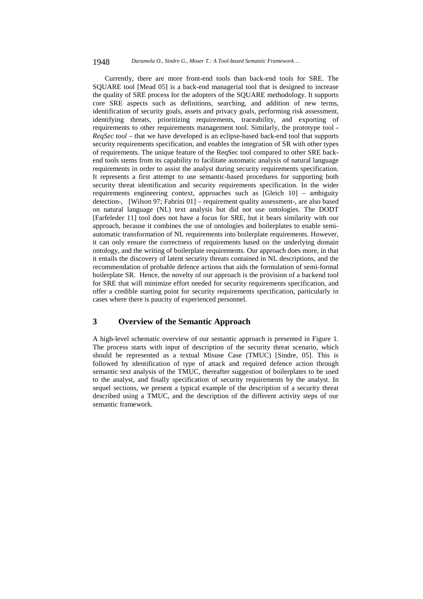### 1948 *Daramola O., Sindre G., Moser T.: A Tool-based Semantic Framework ...*

Currently, there are more front-end tools than back-end tools for SRE. The SQUARE tool [Mead 05] is a back-end managerial tool that is designed to increase the quality of SRE process for the adopters of the SQUARE methodology. It supports core SRE aspects such as definitions, searching, and addition of new terms, identification of security goals, assets and privacy goals, performing risk assessment, identifying threats, prioritizing requirements, traceability, and exporting of requirements to other requirements management tool. Similarly, the prototype tool - *ReqSec tool* – that we have developed is an eclipse-based back-end tool that supports security requirements specification, and enables the integration of SR with other types of requirements. The unique feature of the ReqSec tool compared to other SRE backend tools stems from its capability to facilitate automatic analysis of natural language requirements in order to assist the analyst during security requirements specification. It represents a first attempt to use semantic-based procedures for supporting both security threat identification and security requirements specification. In the wider requirements engineering context, approaches such as [Gleich 10] – ambiguity detection-, [Wilson 97; Fabrini 01] – requirement quality assessment-, are also based on natural language (NL) text analysis but did not use ontologies. The DODT [Farfeleder 11] tool does not have a focus for SRE, but it bears similarity with our approach, because it combines the use of ontologies and boilerplates to enable semiautomatic transformation of NL requirements into boilerplate requirements. However, it can only ensure the correctness of requirements based on the underlying domain ontology, and the writing of boilerplate requirements. Our approach does more, in that it entails the discovery of latent security threats contained in NL descriptions, and the recommendation of probable defence actions that aids the formulation of semi-formal boilerplate SR. Hence, the novelty of our approach is the provision of a backend tool for SRE that will minimize effort needed for security requirements specification, and offer a credible starting point for security requirements specification, particularly in cases where there is paucity of experienced personnel.

# **3 Overview of the Semantic Approach**

A high-level schematic overview of our semantic approach is presented in Figure 1. The process starts with input of description of the security threat scenario, which should be represented as a textual Misuse Case (TMUC) [Sindre, 05]. This is followed by identification of type of attack and required defence action through semantic text analysis of the TMUC, thereafter suggestion of boilerplates to be used to the analyst, and finally specification of security requirements by the analyst. In sequel sections, we present a typical example of the description of a security threat described using a TMUC, and the description of the different activity steps of our semantic framework.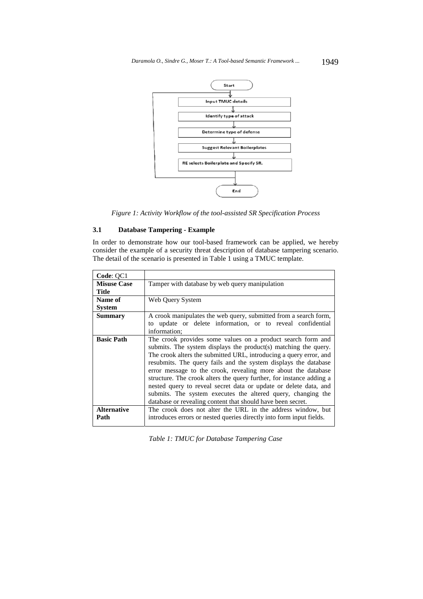

*Figure 1: Activity Workflow of the tool-assisted SR Specification Process* 

# **3.1 Database Tampering - Example**

In order to demonstrate how our tool-based framework can be applied, we hereby consider the example of a security threat description of database tampering scenario. The detail of the scenario is presented in Table 1 using a TMUC template.

| Code: QC1          |                                                                                                                                                                                                                                                                                                                                                                                                                                                                                                                                                                                                                     |  |  |  |  |
|--------------------|---------------------------------------------------------------------------------------------------------------------------------------------------------------------------------------------------------------------------------------------------------------------------------------------------------------------------------------------------------------------------------------------------------------------------------------------------------------------------------------------------------------------------------------------------------------------------------------------------------------------|--|--|--|--|
| <b>Misuse Case</b> | Tamper with database by web query manipulation                                                                                                                                                                                                                                                                                                                                                                                                                                                                                                                                                                      |  |  |  |  |
| Title              |                                                                                                                                                                                                                                                                                                                                                                                                                                                                                                                                                                                                                     |  |  |  |  |
| Name of            | Web Query System                                                                                                                                                                                                                                                                                                                                                                                                                                                                                                                                                                                                    |  |  |  |  |
| <b>System</b>      |                                                                                                                                                                                                                                                                                                                                                                                                                                                                                                                                                                                                                     |  |  |  |  |
| <b>Summary</b>     | A crook manipulates the web query, submitted from a search form,                                                                                                                                                                                                                                                                                                                                                                                                                                                                                                                                                    |  |  |  |  |
|                    | to update or delete information, or to reveal confidential                                                                                                                                                                                                                                                                                                                                                                                                                                                                                                                                                          |  |  |  |  |
|                    | information;                                                                                                                                                                                                                                                                                                                                                                                                                                                                                                                                                                                                        |  |  |  |  |
| <b>Basic Path</b>  | The crook provides some values on a product search form and<br>submits. The system displays the product(s) matching the query.<br>The crook alters the submitted URL, introducing a query error, and<br>resubmits. The query fails and the system displays the database<br>error message to the crook, revealing more about the database<br>structure. The crook alters the query further, for instance adding a<br>nested query to reveal secret data or update or delete data, and<br>submits. The system executes the altered query, changing the<br>database or revealing content that should have been secret. |  |  |  |  |
| <b>Alternative</b> | The crook does not alter the URL in the address window, but                                                                                                                                                                                                                                                                                                                                                                                                                                                                                                                                                         |  |  |  |  |
| Path               | introduces errors or nested queries directly into form input fields.                                                                                                                                                                                                                                                                                                                                                                                                                                                                                                                                                |  |  |  |  |

*Table 1: TMUC for Database Tampering Case*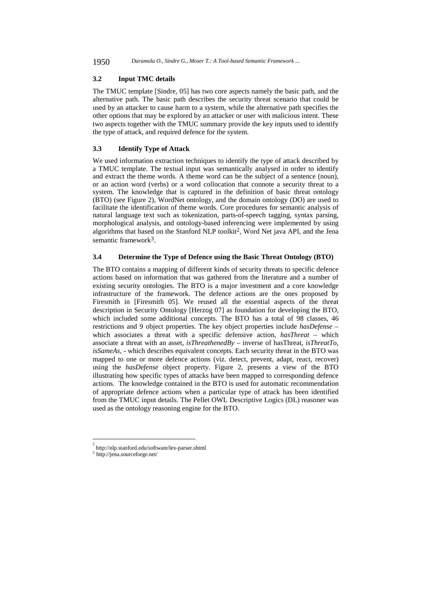1950 *Daramola O., Sindre G., Moser T.: A Tool-based Semantic Framework ...*

# **3.2 Input TMC details**

The TMUC template [Sindre, 05] has two core aspects namely the basic path, and the alternative path. The basic path describes the security threat scenario that could be used by an attacker to cause harm to a system, while the alternative path specifies the other options that may be explored by an attacker or user with malicious intent. These two aspects together with the TMUC summary provide the key inputs used to identify the type of attack, and required defence for the system.

# **3.3 Identify Type of Attack**

We used information extraction techniques to identify the type of attack described by a TMUC template. The textual input was semantically analysed in order to identify and extract the theme words. A theme word can be the subject of a sentence (noun), or an action word (verbs) or a word collocation that connote a security threat to a system. The knowledge that is captured in the definition of basic threat ontology (BTO) (see Figure 2), WordNet ontology, and the domain ontology (DO) are used to facilitate the identification of theme words. Core procedures for semantic analysis of natural language text such as tokenization, parts-of-speech tagging, syntax parsing, morphological analysis, and ontology-based inferencing were implemented by using algorithms that based on the Stanford NLP toolkit<sup>2</sup>, Word Net java API, and the Jena semantic framework $3$ .

# **3.4****Determine the Type of Defence using the Basic Threat Ontology (BTO)**

The BTO contains a mapping of different kinds of security threats to specific defence actions based on information that was gathered from the literature and a number of existing security ontologies. The BTO is a major investment and a core knowledge infrastructure of the framework. The defence actions are the ones proposed by Firesmith in [Firesmith 05]. We reused all the essential aspects of the threat description in Security Ontology [Herzog 07] as foundation for developing the BTO, which included some additional concepts. The BTO has a total of 98 classes, 46 restrictions and 9 object properties. The key object properties include *hasDefense –*  which associates a threat with a specific defensive action, *hasThreat –* which associate a threat with an asset, *isThreathenedBy –* inverse of hasThreat, *isThreatTo*, *isSameAs*, - which describes equivalent concepts. Each security threat in the BTO was mapped to one or more defence actions (viz. detect, prevent, adapt, react, recover) using the *hasDefense* object property. Figure 2, presents a view of the BTO illustrating how specific types of attacks have been mapped to corresponding defence actions. The knowledge contained in the BTO is used for automatic recommendation of appropriate defence actions when a particular type of attack has been identified from the TMUC input details. The Pellet OWL Descriptive Logics (DL) reasoner was used as the ontology reasoning engine for the BTO.

l

<sup>2</sup> http://nlp.stanford.edu/software/lex-parser.shtml

<sup>3</sup> http://jena.sourceforge.net/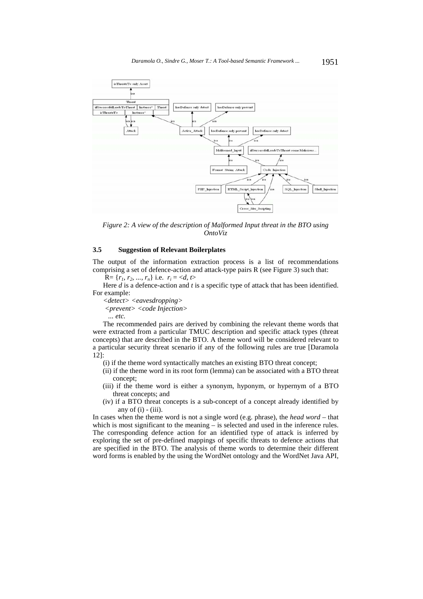

*Figure 2: A view of the description of Malformed Input threat in the BTO using OntoViz* 

# **3.5 Suggestion of Relevant Boilerplates**

The output of the information extraction process is a list of recommendations comprising a set of defence-action and attack-type pairs R (see Figure 3) such that:

 $R = \{r_1, r_2, ..., r_n\}$  i.e.  $r_i =$ 

Here *d* is a defence-action and *t* is a specific type of attack that has been identified. For example:

*<detect> <eavesdropping> <prevent> <code Injection> ... etc.*

The recommended pairs are derived by combining the relevant theme words that were extracted from a particular TMUC description and specific attack types (threat concepts) that are described in the BTO. A theme word will be considered relevant to a particular security threat scenario if any of the following rules are true [Daramola 12]:

- (i) if the theme word syntactically matches an existing BTO threat concept;
- (ii) if the theme word in its root form (lemma) can be associated with a BTO threat concept;
- (iii) if the theme word is either a synonym, hyponym, or hypernym of a BTO threat concepts; and
- (iv) if a BTO threat concepts is a sub-concept of a concept already identified by any of  $(i)$  -  $(iii)$ .

In cases when the theme word is not a single word (e.g. phrase), the *head word* – that which is most significant to the meaning – is selected and used in the inference rules. The corresponding defence action for an identified type of attack is inferred by exploring the set of pre-defined mappings of specific threats to defence actions that are specified in the BTO. The analysis of theme words to determine their different word forms is enabled by the using the WordNet ontology and the WordNet Java API,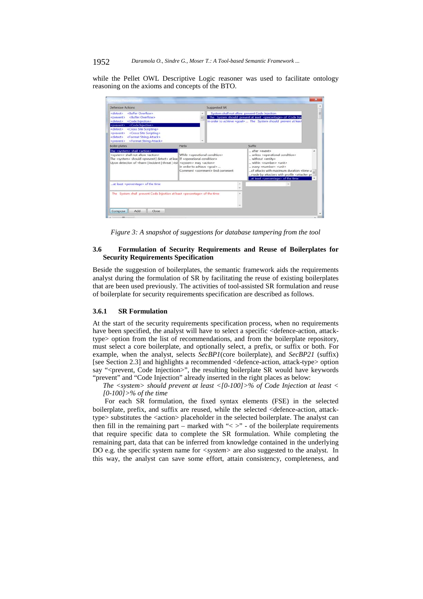while the Pellet OWL Descriptive Logic reasoner was used to facilitate ontology reasoning on the axioms and concepts of the BTO.



*Figure 3: A snapshot of suggestions for database tampering from the tool*

# **3.6 Formulation of Security Requirements and Reuse of Boilerplates for Security Requirements Specification**

Beside the suggestion of boilerplates, the semantic framework aids the requirements analyst during the formulation of SR by facilitating the reuse of existing boilerplates that are been used previously. The activities of tool-assisted SR formulation and reuse of boilerplate for security requirements specification are described as follows.

# **3.6.1 SR Formulation**

At the start of the security requirements specification process, when no requirements have been specified, the analyst will have to select a specific <defence-action, attacktype> option from the list of recommendations, and from the boilerplate repository, must select a core boilerplate, and optionally select, a prefix, or suffix or both. For example, when the analyst, selects *SecBP1*(core boilerplate), and *SecBP21* (suffix) [see Section 2.3] and highlights a recommended <defence-action, attack-type> option say "<prevent, Code Injection>", the resulting boilerplate SR would have keywords "prevent" and "Code Injection" already inserted in the right places as below:

*The <system> should prevent at least <[0-100]>% of Code Injection at least < [0-100]>% of the time* 

For each SR formulation, the fixed syntax elements (FSE) in the selected boilerplate, prefix, and suffix are reused, while the selected <defence-action, attacktype> substitutes the <action> placeholder in the selected boilerplate. The analyst can then fill in the remaining part – marked with " $\lt$  >" - of the boilerplate requirements that require specific data to complete the SR formulation. While completing the remaining part, data that can be inferred from knowledge contained in the underlying DO e.g. the specific system name for *<system>* are also suggested to the analyst. In this way, the analyst can save some effort, attain consistency, completeness, and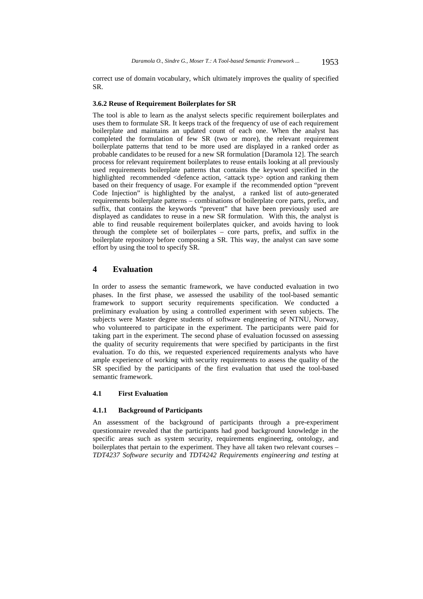correct use of domain vocabulary, which ultimately improves the quality of specified SR.

### **3.6.2 Reuse of Requirement Boilerplates for SR**

The tool is able to learn as the analyst selects specific requirement boilerplates and uses them to formulate SR. It keeps track of the frequency of use of each requirement boilerplate and maintains an updated count of each one. When the analyst has completed the formulation of few SR (two or more), the relevant requirement boilerplate patterns that tend to be more used are displayed in a ranked order as probable candidates to be reused for a new SR formulation [Daramola 12]. The search process for relevant requirement boilerplates to reuse entails looking at all previously used requirements boilerplate patterns that contains the keyword specified in the highlighted recommended <defence action, <attack type> option and ranking them based on their frequency of usage. For example if the recommended option "prevent Code Injection" is highlighted by the analyst, a ranked list of auto-generated requirements boilerplate patterns – combinations of boilerplate core parts, prefix, and suffix, that contains the keywords "prevent" that have been previously used are displayed as candidates to reuse in a new SR formulation. With this, the analyst is able to find reusable requirement boilerplates quicker, and avoids having to look through the complete set of boilerplates – core parts, prefix, and suffix in the boilerplate repository before composing a SR. This way, the analyst can save some effort by using the tool to specify SR.

# **4 Evaluation**

In order to assess the semantic framework, we have conducted evaluation in two phases. In the first phase, we assessed the usability of the tool-based semantic framework to support security requirements specification. We conducted a preliminary evaluation by using a controlled experiment with seven subjects. The subjects were Master degree students of software engineering of NTNU, Norway, who volunteered to participate in the experiment. The participants were paid for taking part in the experiment. The second phase of evaluation focussed on assessing the quality of security requirements that were specified by participants in the first evaluation. To do this, we requested experienced requirements analysts who have ample experience of working with security requirements to assess the quality of the SR specified by the participants of the first evaluation that used the tool-based semantic framework.

# **4.1 First Evaluation**

# **4.1.1 Background of Participants**

An assessment of the background of participants through a pre-experiment questionnaire revealed that the participants had good background knowledge in the specific areas such as system security, requirements engineering, ontology, and boilerplates that pertain to the experiment. They have all taken two relevant courses – *TDT4237 Software security* and *TDT4242 Requirements engineering and testing* at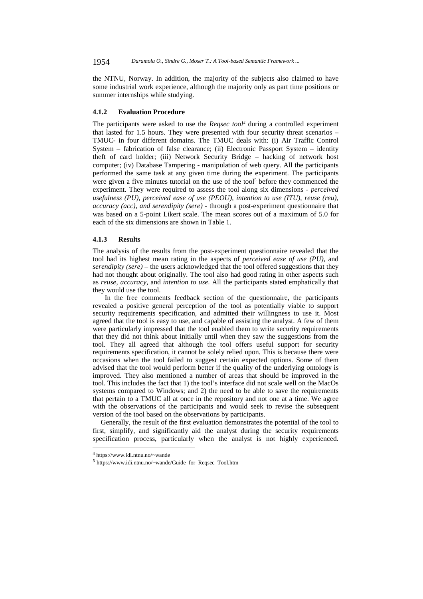the NTNU, Norway. In addition, the majority of the subjects also claimed to have some industrial work experience, although the majority only as part time positions or summer internships while studying.

### **4.1.2 Evaluation Procedure**

The participants were asked to use the *Reqsec tool4* during a controlled experiment that lasted for 1.5 hours. They were presented with four security threat scenarios – TMUC- in four different domains. The TMUC deals with: (i) Air Traffic Control System – fabrication of false clearance; (ii) Electronic Passport System – identity theft of card holder; (iii) Network Security Bridge – hacking of network host computer; (iv) Database Tampering - manipulation of web query. All the participants performed the same task at any given time during the experiment. The participants were given a five minutes tutorial on the use of the tool<sup>5</sup> before they commenced the experiment. They were required to assess the tool along six dimensions - *perceived usefulness (PU), perceived ease of use (PEOU), intention to use (ITU), reuse (reu), accuracy (acc), and serendipity (sere) -* through a post-experiment questionnaire that was based on a 5-point Likert scale. The mean scores out of a maximum of 5.0 for each of the six dimensions are shown in Table 1.

# **4.1.3 Results**

The analysis of the results from the post-experiment questionnaire revealed that the tool had its highest mean rating in the aspects of *perceived ease of use (PU)*, and *serendipity (sere)* – the users acknowledged that the tool offered suggestions that they had not thought about originally. The tool also had good rating in other aspects such as *reuse*, *accuracy*, and *intention to use*. All the participants stated emphatically that they would use the tool.

 In the free comments feedback section of the questionnaire, the participants revealed a positive general perception of the tool as potentially viable to support security requirements specification, and admitted their willingness to use it. Most agreed that the tool is easy to use, and capable of assisting the analyst. A few of them were particularly impressed that the tool enabled them to write security requirements that they did not think about initially until when they saw the suggestions from the tool. They all agreed that although the tool offers useful support for security requirements specification, it cannot be solely relied upon. This is because there were occasions when the tool failed to suggest certain expected options. Some of them advised that the tool would perform better if the quality of the underlying ontology is improved. They also mentioned a number of areas that should be improved in the tool. This includes the fact that 1) the tool's interface did not scale well on the MacOs systems compared to Windows; and 2) the need to be able to save the requirements that pertain to a TMUC all at once in the repository and not one at a time. We agree with the observations of the participants and would seek to revise the subsequent version of the tool based on the observations by participants.

Generally, the result of the first evaluation demonstrates the potential of the tool to first, simplify, and significantly aid the analyst during the security requirements specification process, particularly when the analyst is not highly experienced.

l

<sup>4</sup> https://www.idi.ntnu.no/~wande

<sup>5</sup> https://www.idi.ntnu.no/~wande/Guide\_for\_Reqsec\_Tool.htm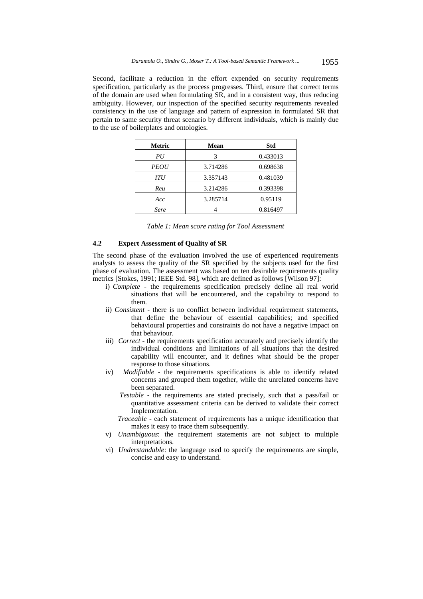Second, facilitate a reduction in the effort expended on security requirements specification, particularly as the process progresses. Third, ensure that correct terms of the domain are used when formulating SR, and in a consistent way, thus reducing ambiguity. However, our inspection of the specified security requirements revealed consistency in the use of language and pattern of expression in formulated SR that pertain to same security threat scenario by different individuals, which is mainly due to the use of boilerplates and ontologies.

| Metric      | Mean     | <b>Std</b> |
|-------------|----------|------------|
| PU          | 3        | 0.433013   |
| <i>PEOU</i> | 3.714286 | 0.698638   |
| ITU         | 3.357143 | 0.481039   |
| Reu         | 3.214286 | 0.393398   |
| Acc         | 3.285714 | 0.95119    |
| Sere        |          | 0.816497   |

| Table 1: Mean score rating for Tool Assessment |  |  |  |  |  |  |  |  |
|------------------------------------------------|--|--|--|--|--|--|--|--|
|------------------------------------------------|--|--|--|--|--|--|--|--|

#### **4.2 Expert Assessment of Quality of SR**

The second phase of the evaluation involved the use of experienced requirements analysts to assess the quality of the SR specified by the subjects used for the first phase of evaluation. The assessment was based on ten desirable requirements quality metrics [Stokes, 1991; IEEE Std. 98], which are defined as follows [Wilson 97]:

- i) *Complete* the requirements specification precisely define all real world situations that will be encountered, and the capability to respond to them.
- ii) *Consistent -* there is no conflict between individual requirement statements, that define the behaviour of essential capabilities; and specified behavioural properties and constraints do not have a negative impact on that behaviour.
- iii) *Correct -* the requirements specification accurately and precisely identify the individual conditions and limitations of all situations that the desired capability will encounter, and it defines what should be the proper response to those situations.
- iv) *Modifiable* the requirements specifications is able to identify related concerns and grouped them together, while the unrelated concerns have been separated.
	- *Testable* the requirements are stated precisely, such that a pass/fail or quantitative assessment criteria can be derived to validate their correct Implementation.
	- *Traceable*  each statement of requirements has a unique identification that makes it easy to trace them subsequently.
- v) *Unambiguous*: the requirement statements are not subject to multiple interpretations.
- vi) *Understandable*: the language used to specify the requirements are simple, concise and easy to understand.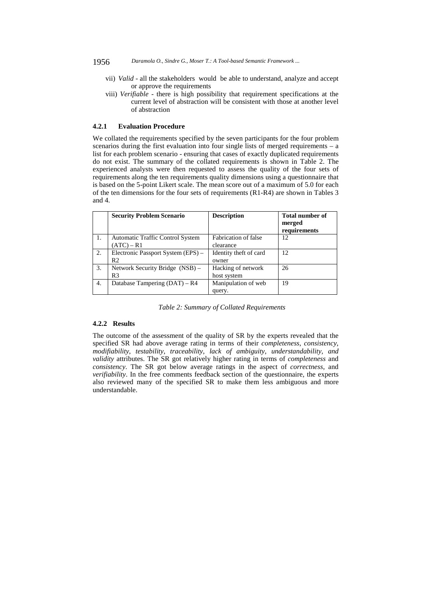- 1956 *Daramola O., Sindre G., Moser T.: A Tool-based Semantic Framework ...*
	- vii) *Valid* all the stakeholders would be able to understand, analyze and accept or approve the requirements
	- viii) *Verifiable* there is high possibility that requirement specifications at the current level of abstraction will be consistent with those at another level of abstraction

### **4.2.1 Evaluation Procedure**

We collated the requirements specified by the seven participants for the four problem scenarios during the first evaluation into four single lists of merged requirements – a list for each problem scenario - ensuring that cases of exactly duplicated requirements do not exist. The summary of the collated requirements is shown in Table 2. The experienced analysts were then requested to assess the quality of the four sets of requirements along the ten requirements quality dimensions using a questionnaire that is based on the 5-point Likert scale. The mean score out of a maximum of 5.0 for each of the ten dimensions for the four sets of requirements (R1-R4) are shown in Tables 3 and 4.

|    | <b>Security Problem Scenario</b>                        | <b>Description</b>                | <b>Total number of</b><br>merged<br>requirements |
|----|---------------------------------------------------------|-----------------------------------|--------------------------------------------------|
| 1. | <b>Automatic Traffic Control System</b><br>$(ATC) - R1$ | Fabrication of false<br>clearance | 12                                               |
| 2. | Electronic Passport System (EPS) -<br>R <sub>2</sub>    | Identity theft of card<br>owner   | 12                                               |
| 3. | Network Security Bridge (NSB) -<br>R <sub>3</sub>       | Hacking of network<br>host system | 26                                               |
| 4. | Database Tampering $(DAT) - R4$                         | Manipulation of web<br>query.     | 19                                               |

*Table 2: Summary of Collated Requirements* 

# **4.2.2 Results**

The outcome of the assessment of the quality of SR by the experts revealed that the specified SR had above average rating in terms of their *completeness*, *consistency*, *modifiability*, *testability*, *traceability*, *lack of ambiguity*, *understandability, and validity* attributes. The SR got relatively higher rating in terms of *completeness* and *consistency*. The SR got below average ratings in the aspect of *correctness*, and *verifiability*. In the free comments feedback section of the questionnaire, the experts also reviewed many of the specified SR to make them less ambiguous and more understandable.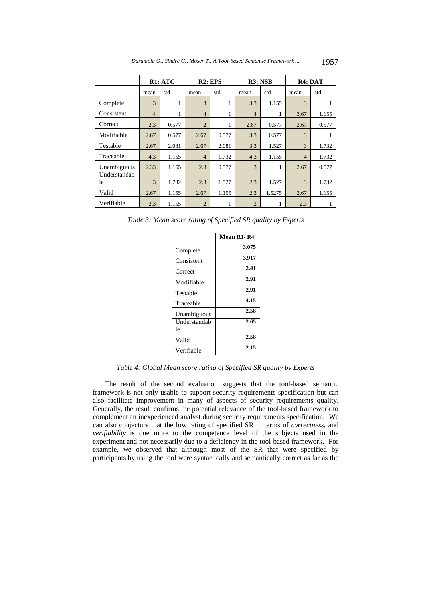|              |                | R <sub>1</sub> : ATC | $R2:$ EPS      |       | R3: NSB        |        | R4: DAT        |       |
|--------------|----------------|----------------------|----------------|-------|----------------|--------|----------------|-------|
|              | mean           | std                  | mean           | std   | mean           | std    | mean           | std   |
| Complete     | 3              | 1                    | 3              | 1     | 3.3            | 1.155  | 3              |       |
| Consistent   | $\overline{4}$ | 1                    | $\overline{4}$ | 1     | $\overline{4}$ | 1      | 3.67           | 1.155 |
| Correct      | 2.3            | 0.577                | $\overline{2}$ | 1     | 2.67           | 0.577  | 2.67           | 0.577 |
| Modifiable   | 2.67           | 0.577                | 2.67           | 0.577 | 3.3            | 0.577  | 3              |       |
| Testable     | 2.67           | 2.081                | 2.67           | 2.081 | 3.3            | 1.527  | 3              | 1.732 |
| Traceable    | 4.3            | 1.155                | $\overline{4}$ | 1.732 | 4.3            | 1.155  | $\overline{4}$ | 1.732 |
| Unambiguous  | 2.33           | 1.155                | 2.3            | 0.577 | 3              | 1      | 2.67           | 0.577 |
| Understandab |                |                      |                |       |                |        |                |       |
| le           | 3              | 1.732                | 2.3            | 1.527 | 2.3            | 1.527  | 3              | 1.732 |
| Valid        | 2.67           | 1.155                | 2.67           | 1.155 | 2.3            | 1.5275 | 2.67           | 1.155 |
| Verifiable   | 2.3            | 1.155                | $\overline{2}$ | 1     | $\overline{2}$ |        | 2.3            |       |

*Table 3: Mean score rating of Specified SR quality by Experts* 

|                    | Mean R1-R4 |
|--------------------|------------|
| Complete           | 3.075      |
| Consistent         | 3.917      |
| Correct            | 2.41       |
| Modifiable         | 2.91       |
| Testable           | 2.91       |
| Traceable          | 4.15       |
| Unambiguous        | 2.58       |
| Understandab<br>le | 2.65       |
| Valid              | 2.58       |
| Verifiable         | 2.15       |

*Table 4: Global Mean score rating of Specified SR quality by Experts* 

The result of the second evaluation suggests that the tool-based semantic framework is not only usable to support security requirements specification but can also facilitate improvement in many of aspects of security requirements quality. Generally, the result confirms the potential relevance of the tool-based framework to complement an inexperienced analyst during security requirements specification. We can also conjecture that the low rating of specified SR in terms of *correctness*, and *verifiability* is due more to the competence level of the subjects used in the experiment and not necessarily due to a deficiency in the tool-based framework. For example, we observed that although most of the SR that were specified by participants by using the tool were syntactically and semantically correct as far as the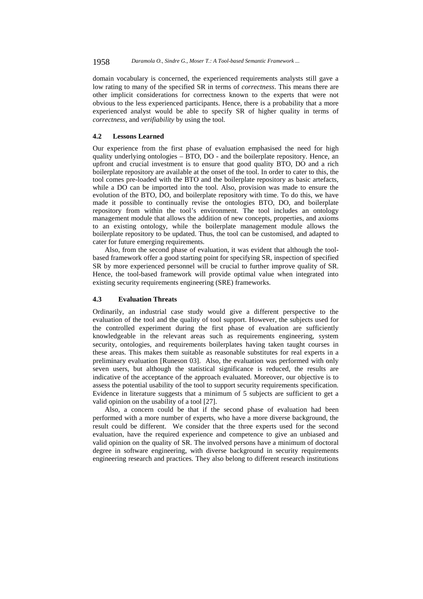domain vocabulary is concerned, the experienced requirements analysts still gave a low rating to many of the specified SR in terms of *correctness*. This means there are other implicit considerations for correctness known to the experts that were not obvious to the less experienced participants. Hence, there is a probability that a more experienced analyst would be able to specify SR of higher quality in terms of *correctness*, and *verifiability* by using the tool.

# **4.2 Lessons Learned**

Our experience from the first phase of evaluation emphasised the need for high quality underlying ontologies – BTO, DO - and the boilerplate repository. Hence, an upfront and crucial investment is to ensure that good quality BTO, DO and a rich boilerplate repository are available at the onset of the tool. In order to cater to this, the tool comes pre-loaded with the BTO and the boilerplate repository as basic artefacts, while a DO can be imported into the tool. Also, provision was made to ensure the evolution of the BTO, DO, and boilerplate repository with time. To do this, we have made it possible to continually revise the ontologies BTO, DO, and boilerplate repository from within the tool's environment. The tool includes an ontology management module that allows the addition of new concepts, properties, and axioms to an existing ontology, while the boilerplate management module allows the boilerplate repository to be updated. Thus, the tool can be customised, and adapted to cater for future emerging requirements.

Also, from the second phase of evaluation, it was evident that although the toolbased framework offer a good starting point for specifying SR, inspection of specified SR by more experienced personnel will be crucial to further improve quality of SR. Hence, the tool-based framework will provide optimal value when integrated into existing security requirements engineering (SRE) frameworks.

# **4.3 Evaluation Threats**

Ordinarily, an industrial case study would give a different perspective to the evaluation of the tool and the quality of tool support. However, the subjects used for the controlled experiment during the first phase of evaluation are sufficiently knowledgeable in the relevant areas such as requirements engineering, system security, ontologies, and requirements boilerplates having taken taught courses in these areas. This makes them suitable as reasonable substitutes for real experts in a preliminary evaluation [Runeson 03]. Also, the evaluation was performed with only seven users, but although the statistical significance is reduced, the results are indicative of the acceptance of the approach evaluated. Moreover, our objective is to assess the potential usability of the tool to support security requirements specification. Evidence in literature suggests that a minimum of 5 subjects are sufficient to get a valid opinion on the usability of a tool [27].

Also, a concern could be that if the second phase of evaluation had been performed with a more number of experts, who have a more diverse background, the result could be different. We consider that the three experts used for the second evaluation, have the required experience and competence to give an unbiased and valid opinion on the quality of SR. The involved persons have a minimum of doctoral degree in software engineering, with diverse background in security requirements engineering research and practices. They also belong to different research institutions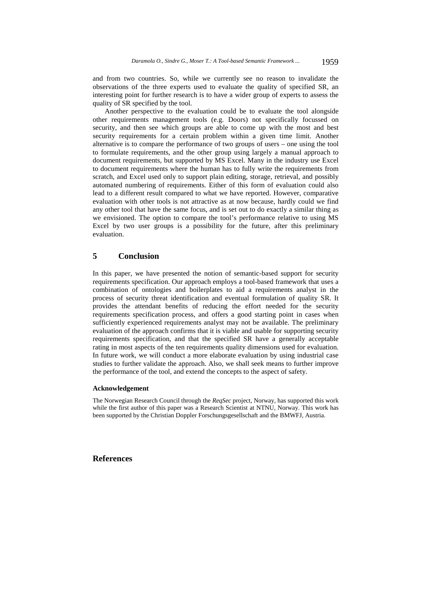and from two countries. So, while we currently see no reason to invalidate the observations of the three experts used to evaluate the quality of specified SR, an interesting point for further research is to have a wider group of experts to assess the quality of SR specified by the tool.

Another perspective to the evaluation could be to evaluate the tool alongside other requirements management tools (e.g. Doors) not specifically focussed on security, and then see which groups are able to come up with the most and best security requirements for a certain problem within a given time limit. Another alternative is to compare the performance of two groups of users – one using the tool to formulate requirements, and the other group using largely a manual approach to document requirements, but supported by MS Excel. Many in the industry use Excel to document requirements where the human has to fully write the requirements from scratch, and Excel used only to support plain editing, storage, retrieval, and possibly automated numbering of requirements. Either of this form of evaluation could also lead to a different result compared to what we have reported. However, comparative evaluation with other tools is not attractive as at now because, hardly could we find any other tool that have the same focus, and is set out to do exactly a similar thing as we envisioned. The option to compare the tool's performance relative to using MS Excel by two user groups is a possibility for the future, after this preliminary evaluation.

# **5 Conclusion**

In this paper, we have presented the notion of semantic-based support for security requirements specification. Our approach employs a tool-based framework that uses a combination of ontologies and boilerplates to aid a requirements analyst in the process of security threat identification and eventual formulation of quality SR. It provides the attendant benefits of reducing the effort needed for the security requirements specification process, and offers a good starting point in cases when sufficiently experienced requirements analyst may not be available. The preliminary evaluation of the approach confirms that it is viable and usable for supporting security requirements specification, and that the specified SR have a generally acceptable rating in most aspects of the ten requirements quality dimensions used for evaluation. In future work, we will conduct a more elaborate evaluation by using industrial case studies to further validate the approach. Also, we shall seek means to further improve the performance of the tool, and extend the concepts to the aspect of safety.

# **Acknowledgement**

The Norwegian Research Council through the *ReqSec* project, Norway, has supported this work while the first author of this paper was a Research Scientist at NTNU, Norway. This work has been supported by the Christian Doppler Forschungsgesellschaft and the BMWFJ, Austria.

**References**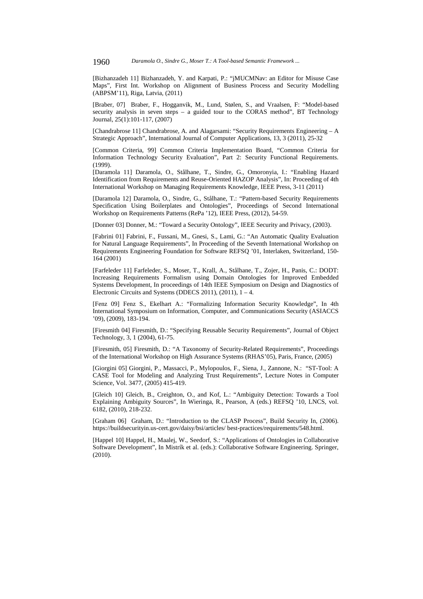[Bizhanzadeh 11] Bizhanzadeh, Y. and Karpati, P.: "jMUCMNav: an Editor for Misuse Case Maps", First Int. Workshop on Alignment of Business Process and Security Modelling (ABPSM'11), Riga, Latvia, (2011)

[Braber, 07] Braber, F., Hogganvik, M., Lund, Stølen, S., and Vraalsen, F: "Model-based security analysis in seven steps – a guided tour to the CORAS method", BT Technology Journal, 25(1):101-117, (2007)

[Chandrabrose 11] Chandrabrose, A. and Alagarsami: "Security Requirements Engineering – A Strategic Approach", International Journal of Computer Applications, 13, 3 (2011), 25-32

[Common Criteria, 99] Common Criteria Implementation Board, "Common Criteria for Information Technology Security Evaluation", Part 2: Security Functional Requirements. (1999).

[Daramola 11] Daramola, O., Stålhane, T., Sindre, G., Omoronyia, I.: "Enabling Hazard Identification from Requirements and Reuse-Oriented HAZOP Analysis", In: Proceeding of 4th International Workshop on Managing Requirements Knowledge, IEEE Press, 3-11 (2011)

[Daramola 12] Daramola, O., Sindre, G., Stålhane, T.: "Pattern-based Security Requirements Specification Using Boilerplates and Ontologies", Proceedings of Second International Workshop on Requirements Patterns (RePa '12), IEEE Press, (2012), 54-59.

[Donner 03] Donner, M.: "Toward a Security Ontology", IEEE Security and Privacy, (2003).

[Fabrini 01] Fabrini, F., Fussani, M., Gnesi, S., Lami, G.: "An Automatic Quality Evaluation for Natural Language Requirements", In Proceeding of the Seventh International Workshop on Requirements Engineering Foundation for Software REFSQ '01, Interlaken, Switzerland, 150- 164 (2001)

[Farfeleder 11] Farfeleder, S., Moser, T., Krall, A., Stålhane, T., Zojer, H., Panis, C.: DODT: Increasing Requirements Formalism using Domain Ontologies for Improved Embedded Systems Development, In proceedings of 14th IEEE Symposium on Design and Diagnostics of Electronic Circuits and Systems (DDECS 2011),  $(2011)$ ,  $1 - 4$ .

[Fenz 09] Fenz S., Ekelhart A.: "Formalizing Information Security Knowledge", In 4th International Symposium on Information, Computer, and Communications Security (ASIACCS '09), (2009), 183-194.

[Firesmith 04] Firesmith, D.: "Specifying Reusable Security Requirements", Journal of Object Technology, 3, 1 (2004), 61-75.

[Firesmith, 05] Firesmith, D.: "A Taxonomy of Security-Related Requirements", Proceedings of the International Workshop on High Assurance Systems (RHAS'05), Paris, France, (2005)

[Giorgini 05] Giorgini, P., Massacci, P., Mylopoulos, F., Siena, J., Zannone, N.: "ST-Tool: A CASE Tool for Modeling and Analyzing Trust Requirements", Lecture Notes in Computer Science, Vol. 3477, (2005) 415-419.

[Gleich 10] Gleich, B., Creighton, O., and Kof, L.: "Ambiguity Detection: Towards a Tool Explaining Ambiguity Sources", In Wieringa, R., Pearson, A (eds.) REFSQ '10, LNCS, vol. 6182, (2010), 218-232.

[Graham 06] Graham, D.: "Introduction to the CLASP Process", Build Security In, (2006). https://buildsecurityin.us-cert.gov/daisy/bsi/articles/ best-practices/requirements/548.html.

[Happel 10] Happel, H., Maalej, W., Seedorf, S.: "Applications of Ontologies in Collaborative Software Development", In Mistrík et al. (eds.): Collaborative Software Engineering. Springer, (2010).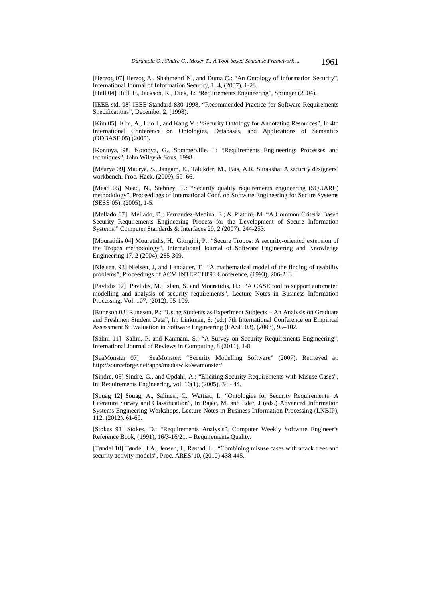[Herzog 07] Herzog A., Shahmehri N., and Duma C.: "An Ontology of Information Security", International Journal of Information Security, 1, 4, (2007), 1-23.

[Hull 04] Hull, E., Jackson, K., Dick, J.: "Requirements Engineering", Springer (2004).

[IEEE std. 98] IEEE Standard 830-1998, "Recommended Practice for Software Requirements Specifications", December 2, (1998).

[Kim 05] Kim, A., Luo J., and Kang M.: "Security Ontology for Annotating Resources", In 4th International Conference on Ontologies, Databases, and Applications of Semantics (ODBASE'05) (2005).

[Kontoya, 98] Kotonya, G., Sommerville, I.: "Requirements Engineering: Processes and techniques", John Wiley & Sons, 1998.

[Maurya 09] Maurya, S., Jangam, E., Talukder, M., Pais, A.R. Suraksha: A security designers' workbench. Proc. Hack. (2009), 59–66.

[Mead 05] Mead, N., Stehney, T.: "Security quality requirements engineering (SQUARE) methodology", Proceedings of International Conf. on Software Engineering for Secure Systems (SESS'05), (2005), 1-5.

[Mellado 07] Mellado, D.; Fernandez-Medina, E.; & Piattini, M. "A Common Criteria Based Security Requirements Engineering Process for the Development of Secure Information Systems." Computer Standards & Interfaces 29, 2 (2007): 244-253.

[Mouratidis 04] Mouratidis, H., Giorgini, P.: "Secure Tropos: A security-oriented extension of the Tropos methodology", International Journal of Software Engineering and Knowledge Engineering 17, 2 (2004), 285-309.

[Nielsen, 93] Nielsen, J, and Landauer, T.: "A mathematical model of the finding of usability problems", Proceedings of ACM INTERCHI'93 Conference, (1993), 206-213.

[Pavlidis 12] Pavlidis, M., Islam, S. and Mouratidis, H.: "A CASE tool to support automated modelling and analysis of security requirements", Lecture Notes in Business Information Processing, Vol. 107, (2012), 95-109.

[Runeson 03] Runeson, P.: "Using Students as Experiment Subjects – An Analysis on Graduate and Freshmen Student Data", In: Linkman, S. (ed.) 7th International Conference on Empirical Assessment & Evaluation in Software Engineering (EASE'03), (2003), 95–102.

[Salini 11] Salini, P. and Kanmani, S.: "A Survey on Security Requirements Engineering", International Journal of Reviews in Computing, 8 (2011), 1-8.

[SeaMonster 07] SeaMonster: "Security Modelling Software" (2007); Retrieved at: http://sourceforge.net/apps/mediawiki/seamonster/

[Sindre, 05] Sindre, G., and Opdahl, A.: "Eliciting Security Requirements with Misuse Cases", In: Requirements Engineering, vol. 10(1), (2005), 34 - 44.

[Souag 12] Souag, A., Salinesi, C., Wattiau, I.: "Ontologies for Security Requirements: A Literature Survey and Classification", In Bajec, M. and Eder, J (eds.) Advanced Information Systems Engineering Workshops, Lecture Notes in Business Information Processing (LNBIP), 112, (2012), 61-69.

[Stokes 91] Stokes, D.: "Requirements Analysis", Computer Weekly Software Engineer's Reference Book, (1991), 16/3-16/21. – Requirements Quality.

[Tøndel 10] Tøndel, I.A., Jensen, J., Røstad, L.: "Combining misuse cases with attack trees and security activity models", Proc. ARES'10, (2010) 438-445.